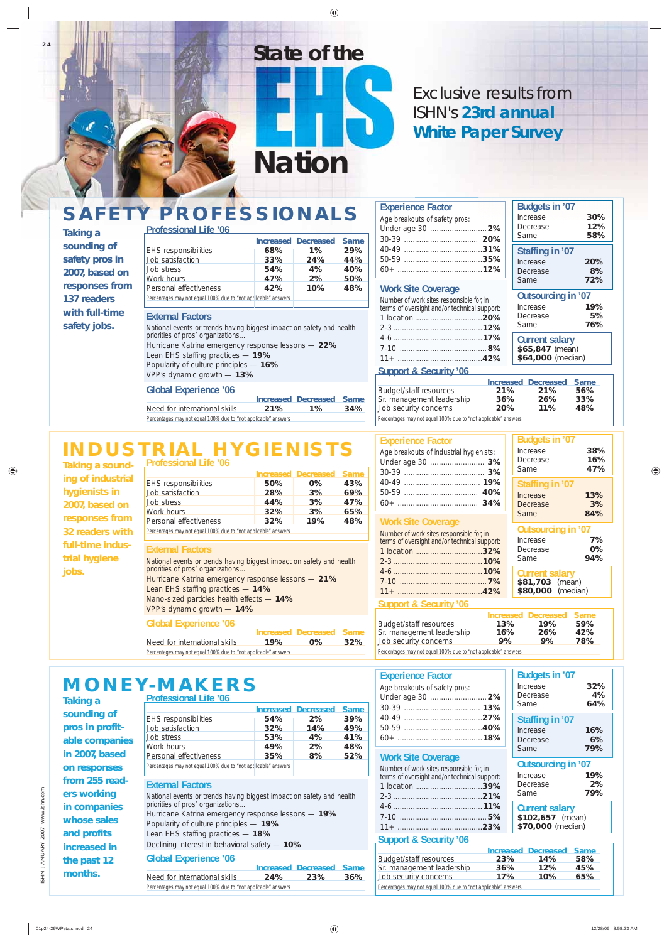**24**

*Taking a sounding of safety pros in 2007, based on responses from 137 readers with full-time safety jobs.*

# **SAFETY PROFESSIONALS**

*Taking a sounding of industrial hygienists in 2007, based on responses from 32 readers with full-time industrial hygiene jobs.*

| <b>Taking a</b> |  |
|-----------------|--|
| sounding of     |  |
| pros in profit- |  |

# **MONEY-MAKERS**

|                                                                |     | <b>Increased Decreased Same</b> |     |
|----------------------------------------------------------------|-----|---------------------------------|-----|
| <b>EHS responsibilities</b>                                    | 68% | $1\%$                           | 29% |
| Job satisfaction                                               | 33% | 24%                             | 44% |
| Job stress                                                     | 54% | 4%                              | 40% |
| Work hours                                                     | 47% | 2%                              | 50% |
| Personal effectiveness                                         | 42% | 10%                             | 48% |
| Percentages may not equal 100% due to "not applicable" answers |     |                                 |     |

### **External Factors**

*National events or trends having biggest impact on safety and health priorities of pros' organizations…* Hurricane Katrina emergency response lessons — **22%** Lean EHS staffing practices — **19%** Popularity of culture principles — **16%** VPP's dynamic growth — **13%**

# **Global Experience '06**

|                                                                |     | Increased Decreased Same |     |  |
|----------------------------------------------------------------|-----|--------------------------|-----|--|
| Need for international skills                                  | 21% | $1\%$                    | 34% |  |
| Percentages may not equal 100% due to "not applicable" answers |     |                          |     |  |

# **INDUSTRIAL HYGIENIST Professional Life '06**

### **Experience Factor**

EHS responsibilities **50% 0% 43%**<br>Job satisfaction **28% 3% 69%** Job satisfaction **28% 3% 69%** Job stress **44% 3% 47%**

| Age breakouts of safety pros: |  |
|-------------------------------|--|
|                               |  |
|                               |  |
|                               |  |
|                               |  |
|                               |  |

# **Work Site Coverage**

| Number of work sites responsible for, in<br>terms of oversight and/or technical support: |
|------------------------------------------------------------------------------------------|
| 1 location <b>20%</b>                                                                    |
|                                                                                          |
|                                                                                          |
|                                                                                          |
|                                                                                          |

**Outsourcing in '07** Increase **7%** Decrease **0%**<br>Same **94%** 

| <b>Budgets in '07</b>                           |                  |
|-------------------------------------------------|------------------|
| Increase<br>Decrease                            | 30%<br>12%       |
| Same                                            | 58%              |
| Staffing in '07<br>Increase<br>Decrease<br>Same | 20%<br>8%<br>72% |

# **Outsourcing in '07**

| Increase | 19% |
|----------|-----|
| Decrease | 5%  |
| Same     | 76% |

# Exclusive results from *ISHN's* **23rd annual White Paper Survey**

*Nation*

# *State of the*

**Current salary \$65,847** *(mean)* **\$64,000** *(median)*

# **Support & Security '06**

|                                                                                                                                                                                                                               |            | <b>Increased Decreased Same</b> |     |
|-------------------------------------------------------------------------------------------------------------------------------------------------------------------------------------------------------------------------------|------------|---------------------------------|-----|
| Budget/staff resources                                                                                                                                                                                                        | 21%        | 21%                             | 56% |
| Sr. management leadership                                                                                                                                                                                                     | 36%        | 26%                             | 33% |
| Job security concerns                                                                                                                                                                                                         | <b>20%</b> | 11%                             | 48% |
| Department of the contract of the state of the state of the state of the state of the state of the state of the state of the state of the state of the state of the state of the state of the state of the state of the state |            |                                 |     |

*Percentages may not equal 100% due to "not applicable" answers*

**Increased Decreased Same**

| Work hours                                                                                                | 32% | 3%  | 65% |
|-----------------------------------------------------------------------------------------------------------|-----|-----|-----|
| Personal effectiveness                                                                                    | 32% | 19% | 48% |
| Percentages may not equal 100% due to "not applicable" answers                                            |     |     |     |
|                                                                                                           |     |     |     |
| <b>External Factors</b>                                                                                   |     |     |     |
| National events or trends having biggest impact on safety and health<br>priorities of pros' organizations |     |     |     |
| Hurricane Katrina emergency response lessons - 21%                                                        |     |     |     |
|                                                                                                           |     |     |     |

Lean EHS staffing practices — **14%**

Nano-sized particles health effects — **14%** VPP's dynamic growth — **14%**

# **Global Experience '06**

|                                                                |     | Increased Decreased Same |     |
|----------------------------------------------------------------|-----|--------------------------|-----|
| Need for international skills                                  | 19% | $0\%$                    | 32% |
| Percentages may not equal 100% due to "not applicable" answers |     |                          |     |

# **Experience Factor**

| Age breakouts of industrial hygienists: |  |
|-----------------------------------------|--|
|                                         |  |
|                                         |  |
|                                         |  |
|                                         |  |
| 60+ ……………………………… <b>34%</b>             |  |

# **Work Site Coverage**

| Number of work sites responsible for, in<br>terms of oversight and/or technical support: |
|------------------------------------------------------------------------------------------|
| 1 location <b>32%</b>                                                                    |
|                                                                                          |
|                                                                                          |
|                                                                                          |
|                                                                                          |

**Budgets in '07**

Increase **38%** Decrease **16%** Same **47%**

**Staffing in '07**

Increase **13%** Decrease **3%** Same **84%**

**Current salary \$81,703** *(mean)* **\$80,000** *(median)*

Same

### **Support & Security '06**

|                                                                |     | Increased Decreased Same |     |
|----------------------------------------------------------------|-----|--------------------------|-----|
| Budget/staff resources                                         | 13% | 19%                      | 59% |
| Sr. management leadership                                      | 16% | 26%                      | 42% |
| Job security concerns                                          | 9%  | 9%                       | 78% |
| Derecepted may not caught 100% due to linet applicable spouses |     |                          |     |

*Percentages may not equal 100% due to "not applicable" answers*

|                                                                                                                                                                                                                                                                                                                              | <b>Increased</b> | <b>Decreased</b> | <b>Same</b> |
|------------------------------------------------------------------------------------------------------------------------------------------------------------------------------------------------------------------------------------------------------------------------------------------------------------------------------|------------------|------------------|-------------|
| EHS responsibilities                                                                                                                                                                                                                                                                                                         | 54%              | 2%               | 39%         |
| Job satisfaction                                                                                                                                                                                                                                                                                                             | 32%              | 14%              | 49%         |
| Job stress                                                                                                                                                                                                                                                                                                                   | 53%              | 4%               | 41%         |
| Work hours                                                                                                                                                                                                                                                                                                                   | 49%              | 2%               | 48%         |
| Personal effectiveness                                                                                                                                                                                                                                                                                                       | 35%              | 8%               | 52%         |
| Percentages may not equal 100% due to "not applicable" answers                                                                                                                                                                                                                                                               |                  |                  |             |
|                                                                                                                                                                                                                                                                                                                              |                  |                  |             |
| <b>External Factors</b><br>National events or trends having biggest impact on safety and health<br>priorities of pros' organizations<br>Hurricane Katrina emergency response lessons - 19%<br>Popularity of culture principles - 19%<br>Lean EHS staffing practices - 18%<br>Declining interest in behavioral safety $-10\%$ |                  |                  |             |
| <b>Global Experience '06</b>                                                                                                                                                                                                                                                                                                 | Increased        | <b>Decreased</b> | <b>Same</b> |

| <b>Experience Factor</b><br>Age breakouts of safety pros:<br>Under age 30  2%                                                                                                                  | <b>Budgets in '07</b><br>Increase<br>32%<br>4%<br>Decrease<br>64%<br>Same     |
|------------------------------------------------------------------------------------------------------------------------------------------------------------------------------------------------|-------------------------------------------------------------------------------|
|                                                                                                                                                                                                | Staffing in '07<br>Increase<br>16%<br>6%<br>Decrease<br>79%<br>Same           |
| <b>Work Site Coverage</b><br>Number of work sites responsible for, in<br>terms of oversight and/or technical support:                                                                          | <b>Outsourcing in '07</b><br>19%<br>Increase<br>2%<br>Decrease<br>79%<br>Same |
| $11+$                                                                                                                                                                                          | <b>Current salary</b><br>\$102,657 (mean)<br>\$70,000 (median)                |
| <b>Support &amp; Security '06</b>                                                                                                                                                              |                                                                               |
| <b>Increased</b><br>Budget/staff resources<br>23%<br>Sr. management leadership<br>36%<br>Job security concerns<br><b>17%</b><br>Percentages may not equal 100% due to "not applicable" answers | <b>Decreased</b><br><b>Same</b><br>14%<br>58%<br>12%<br>45%<br>10%<br>65%     |
|                                                                                                                                                                                                |                                                                               |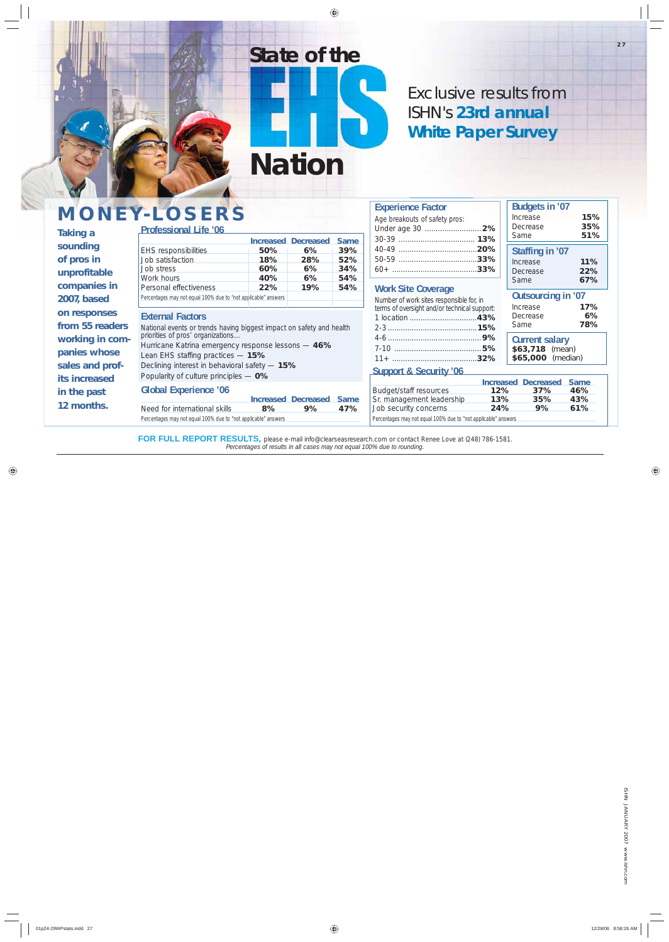ISHN JANUARY 2007 www.ishn.com JANUARY 2007 www.ishn.com

# **MONEY-LOSERS**

**Experience Factor** *Age breakouts of safety pros:*

| <b>Taking a</b>                                                                   | IVIUNE Y-LUSERS<br><b>Professional Life '06</b>                                                                                                                                                                                                                                                   |                                                               |                                  |                                                | Age breakouts of safety pros:                                                                                     | Increase<br>Decrease<br>Same                                                                                        | 15%<br>35%<br>51%                |
|-----------------------------------------------------------------------------------|---------------------------------------------------------------------------------------------------------------------------------------------------------------------------------------------------------------------------------------------------------------------------------------------------|---------------------------------------------------------------|----------------------------------|------------------------------------------------|-------------------------------------------------------------------------------------------------------------------|---------------------------------------------------------------------------------------------------------------------|----------------------------------|
| sounding<br>of pros in<br>unprofitable<br>companies in                            | <b>EHS responsibilities</b><br>Job satisfaction<br>Job stress<br>Work hours<br>Personal effectiveness                                                                                                                                                                                             | <b>Increased Decreased</b><br>50%<br>18%<br>60%<br>40%<br>22% | 6%<br>28%<br>6%<br>6%<br>19%     | <b>Same</b><br>39%<br>52%<br>34%<br>54%<br>54% | <b>Work Site Coverage</b>                                                                                         | Staffing in '07<br>Increase<br>Decrease<br>Same                                                                     | 11%<br>22%<br>67%                |
| 2007, based<br>on responses<br>from 55 readers<br>working in com-<br>panies whose | Percentages may not equal 100% due to "not applicable" answers<br><b>External Factors</b><br>National events or trends having biggest impact on safety and health<br>priorities of pros' organizations<br>Hurricane Katrina emergency response lessons - 46%<br>Lean EHS staffing practices - 15% |                                                               |                                  |                                                | Number of work sites responsible for, in<br>terms of oversight and/or technical support:                          | Outsourcing in '07<br>Increase<br>Decrease<br>Same<br><b>Current salary</b><br>\$63,718 (mean)<br>\$65,000 (median) | 17%<br>6%<br>78%                 |
| sales and prof-<br>its increased<br>in the past<br>12 months.                     | Declining interest in behavioral safety - 15%<br>Popularity of culture principles - 0%<br><b>Global Experience '06</b><br>Need for international skills                                                                                                                                           | 8%                                                            | <b>Increased Decreased</b><br>9% | <b>Same</b><br>47%                             | <b>Support &amp; Security '06</b><br>Budget/staff resources<br>Sr. management leadership<br>Job security concerns | <b>Increased Decreased</b><br>12%<br>37%<br><b>13%</b><br>35%<br>9%<br>24%                                          | <b>Same</b><br>46%<br>43%<br>61% |
|                                                                                   | Percentages may not equal 100% due to "not applicable" answers                                                                                                                                                                                                                                    |                                                               |                                  |                                                | Percentages may not equal 100% due to "not applicable" answers                                                    |                                                                                                                     |                                  |

FOR FULL REPORT RESULTS, please e-mail info@clearseasresearch.com or contact Renee Love at (248) 786-1581. *Percentages of results in all cases may not equal 100% due to rounding.*

**Budgets in '07**

Exclusive results from *ISHN's* **23rd annual White Paper Survey**